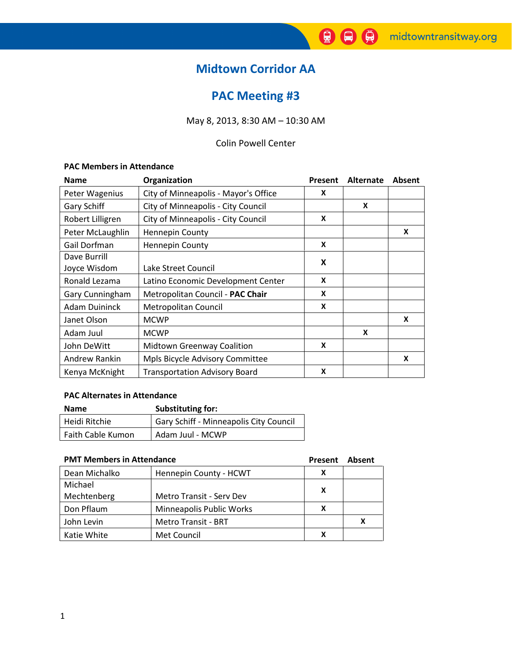# Midtown Corridor AA

# PAC Meeting #3

May 8, 2013, 8:30 AM – 10:30 AM

## Colin Powell Center

## PAC Members in Attendance

| <b>Name</b>          | Organization                         | Present | Alternate | Absent |
|----------------------|--------------------------------------|---------|-----------|--------|
| Peter Wagenius       | City of Minneapolis - Mayor's Office | X       |           |        |
| Gary Schiff          | City of Minneapolis - City Council   |         | X         |        |
| Robert Lilligren     | City of Minneapolis - City Council   | X       |           |        |
| Peter McLaughlin     | <b>Hennepin County</b>               |         |           | X      |
| Gail Dorfman         | <b>Hennepin County</b>               | X       |           |        |
| Dave Burrill         |                                      |         |           |        |
| Joyce Wisdom         | Lake Street Council                  |         | X         |        |
| Ronald Lezama        | Latino Economic Development Center   | X       |           |        |
| Gary Cunningham      | Metropolitan Council - PAC Chair     | X       |           |        |
| <b>Adam Duininck</b> | Metropolitan Council                 | X       |           |        |
| Janet Olson          | <b>MCWP</b>                          |         |           | X      |
| Adam Juul            | <b>MCWP</b>                          |         | X         |        |
| John DeWitt          | Midtown Greenway Coalition           | X       |           |        |
| Andrew Rankin        | Mpls Bicycle Advisory Committee      |         |           | X      |
| Kenya McKnight       | <b>Transportation Advisory Board</b> | X       |           |        |

### PAC Alternates in Attendance

| <b>Name</b>       | Substituting for:                      |
|-------------------|----------------------------------------|
| Heidi Ritchie     | Gary Schiff - Minneapolis City Council |
| Faith Cable Kumon | Adam Juul - MCWP                       |

# **PMT Members in Attendance** Present Absent Absent

| PIVIT Members in Allendance |                            | Present | Absent |
|-----------------------------|----------------------------|---------|--------|
| Dean Michalko               | Hennepin County - HCWT     | x       |        |
| Michael                     |                            | X       |        |
| Mechtenberg                 | Metro Transit - Serv Dev   |         |        |
| Don Pflaum                  | Minneapolis Public Works   | х       |        |
| John Levin                  | <b>Metro Transit - BRT</b> |         | X      |
| Katie White                 | Met Council                | χ       |        |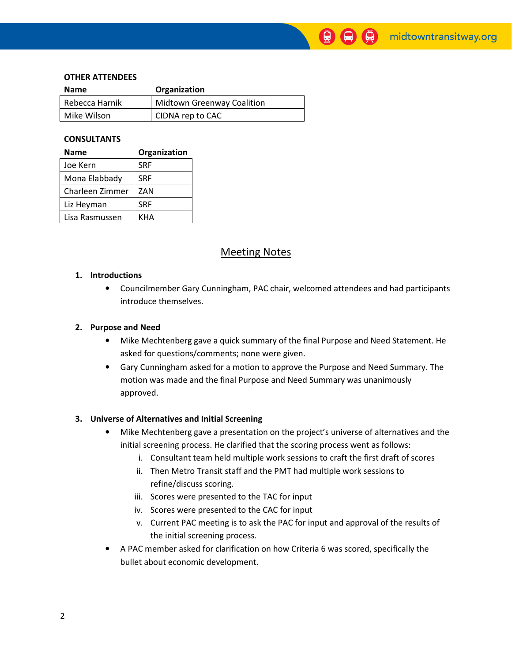#### OTHER ATTENDEES

| <b>Name</b>    | Organization                      |
|----------------|-----------------------------------|
| Rebecca Harnik | <b>Midtown Greenway Coalition</b> |
| Mike Wilson    | CIDNA rep to CAC                  |

#### CONSULTANTS

| <b>Name</b>     | Organization |  |  |
|-----------------|--------------|--|--|
| Joe Kern        | <b>SRF</b>   |  |  |
| Mona Elabbady   | <b>SRF</b>   |  |  |
| Charleen Zimmer | ZAN          |  |  |
| Liz Heyman      | <b>SRF</b>   |  |  |
| Lisa Rasmussen  | KHA          |  |  |

## Meeting Notes

#### 1. Introductions

• Councilmember Gary Cunningham, PAC chair, welcomed attendees and had participants introduce themselves.

9)

#### 2. Purpose and Need

- Mike Mechtenberg gave a quick summary of the final Purpose and Need Statement. He asked for questions/comments; none were given.
- Gary Cunningham asked for a motion to approve the Purpose and Need Summary. The motion was made and the final Purpose and Need Summary was unanimously approved.

#### 3. Universe of Alternatives and Initial Screening

- Mike Mechtenberg gave a presentation on the project's universe of alternatives and the initial screening process. He clarified that the scoring process went as follows:
	- i. Consultant team held multiple work sessions to craft the first draft of scores
	- ii. Then Metro Transit staff and the PMT had multiple work sessions to refine/discuss scoring.
	- iii. Scores were presented to the TAC for input
	- iv. Scores were presented to the CAC for input
	- v. Current PAC meeting is to ask the PAC for input and approval of the results of the initial screening process.
- A PAC member asked for clarification on how Criteria 6 was scored, specifically the bullet about economic development.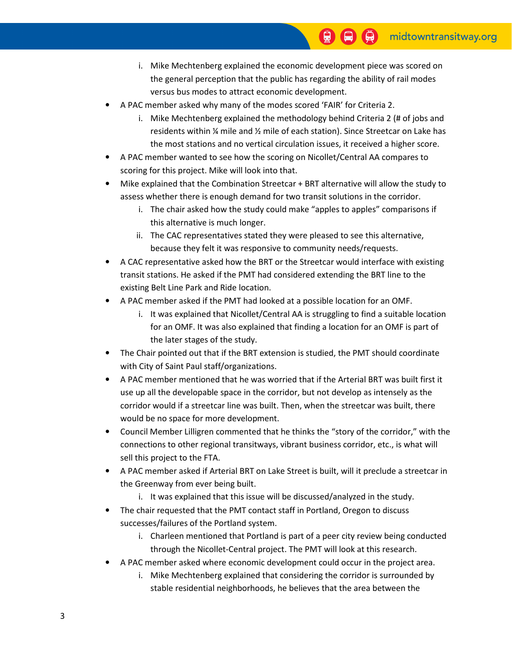- i. Mike Mechtenberg explained the economic development piece was scored on the general perception that the public has regarding the ability of rail modes versus bus modes to attract economic development.
- A PAC member asked why many of the modes scored 'FAIR' for Criteria 2.
	- i. Mike Mechtenberg explained the methodology behind Criteria 2 (# of jobs and residents within ¼ mile and ½ mile of each station). Since Streetcar on Lake has the most stations and no vertical circulation issues, it received a higher score.
- A PAC member wanted to see how the scoring on Nicollet/Central AA compares to scoring for this project. Mike will look into that.
- Mike explained that the Combination Streetcar + BRT alternative will allow the study to assess whether there is enough demand for two transit solutions in the corridor.
	- i. The chair asked how the study could make "apples to apples" comparisons if this alternative is much longer.
	- ii. The CAC representatives stated they were pleased to see this alternative, because they felt it was responsive to community needs/requests.
- A CAC representative asked how the BRT or the Streetcar would interface with existing transit stations. He asked if the PMT had considered extending the BRT line to the existing Belt Line Park and Ride location.
- A PAC member asked if the PMT had looked at a possible location for an OMF.
	- i. It was explained that Nicollet/Central AA is struggling to find a suitable location for an OMF. It was also explained that finding a location for an OMF is part of the later stages of the study.
- The Chair pointed out that if the BRT extension is studied, the PMT should coordinate with City of Saint Paul staff/organizations.
- A PAC member mentioned that he was worried that if the Arterial BRT was built first it use up all the developable space in the corridor, but not develop as intensely as the corridor would if a streetcar line was built. Then, when the streetcar was built, there would be no space for more development.
- Council Member Lilligren commented that he thinks the "story of the corridor," with the connections to other regional transitways, vibrant business corridor, etc., is what will sell this project to the FTA.
- A PAC member asked if Arterial BRT on Lake Street is built, will it preclude a streetcar in the Greenway from ever being built.
	- i. It was explained that this issue will be discussed/analyzed in the study.
- The chair requested that the PMT contact staff in Portland, Oregon to discuss successes/failures of the Portland system.
	- i. Charleen mentioned that Portland is part of a peer city review being conducted through the Nicollet-Central project. The PMT will look at this research.
- A PAC member asked where economic development could occur in the project area.
	- i. Mike Mechtenberg explained that considering the corridor is surrounded by stable residential neighborhoods, he believes that the area between the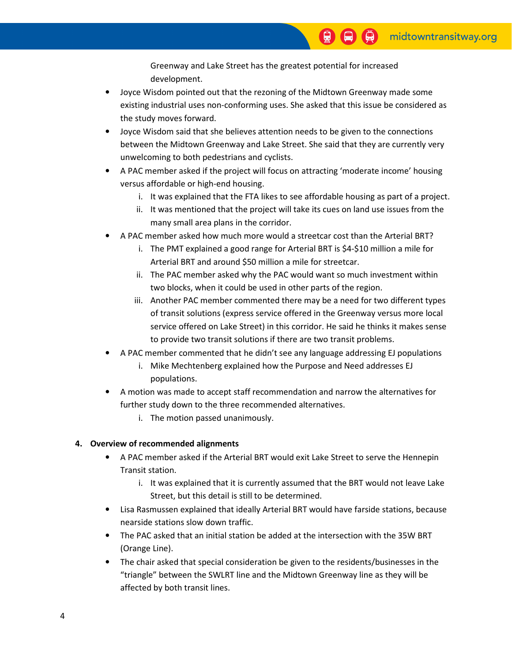Greenway and Lake Street has the greatest potential for increased development.

- Joyce Wisdom pointed out that the rezoning of the Midtown Greenway made some existing industrial uses non-conforming uses. She asked that this issue be considered as the study moves forward.
- Joyce Wisdom said that she believes attention needs to be given to the connections between the Midtown Greenway and Lake Street. She said that they are currently very unwelcoming to both pedestrians and cyclists.
- A PAC member asked if the project will focus on attracting 'moderate income' housing versus affordable or high-end housing.
	- i. It was explained that the FTA likes to see affordable housing as part of a project.
	- ii. It was mentioned that the project will take its cues on land use issues from the many small area plans in the corridor.
- A PAC member asked how much more would a streetcar cost than the Arterial BRT?
	- i. The PMT explained a good range for Arterial BRT is \$4-\$10 million a mile for Arterial BRT and around \$50 million a mile for streetcar.
	- ii. The PAC member asked why the PAC would want so much investment within two blocks, when it could be used in other parts of the region.
	- iii. Another PAC member commented there may be a need for two different types of transit solutions (express service offered in the Greenway versus more local service offered on Lake Street) in this corridor. He said he thinks it makes sense to provide two transit solutions if there are two transit problems.
- A PAC member commented that he didn't see any language addressing EJ populations
	- i. Mike Mechtenberg explained how the Purpose and Need addresses EJ populations.
- A motion was made to accept staff recommendation and narrow the alternatives for further study down to the three recommended alternatives.
	- i. The motion passed unanimously.

## 4. Overview of recommended alignments

- A PAC member asked if the Arterial BRT would exit Lake Street to serve the Hennepin Transit station.
	- i. It was explained that it is currently assumed that the BRT would not leave Lake Street, but this detail is still to be determined.
- Lisa Rasmussen explained that ideally Arterial BRT would have farside stations, because nearside stations slow down traffic.
- The PAC asked that an initial station be added at the intersection with the 35W BRT (Orange Line).
- The chair asked that special consideration be given to the residents/businesses in the "triangle" between the SWLRT line and the Midtown Greenway line as they will be affected by both transit lines.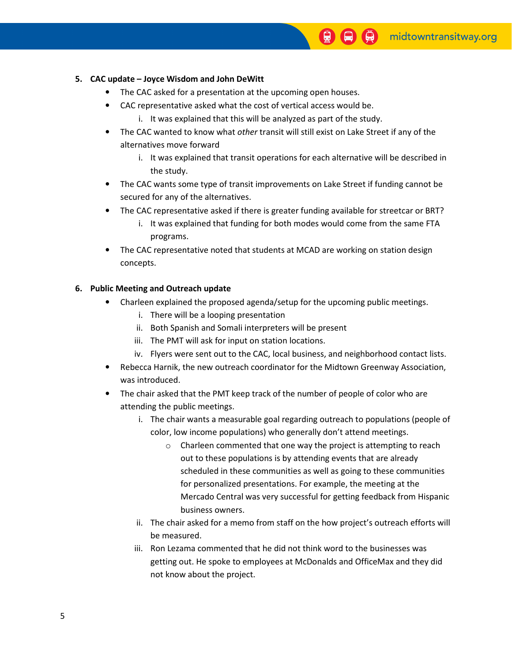## 5. CAC update – Joyce Wisdom and John DeWitt

- The CAC asked for a presentation at the upcoming open houses.
- CAC representative asked what the cost of vertical access would be.
	- i. It was explained that this will be analyzed as part of the study.
- The CAC wanted to know what *other* transit will still exist on Lake Street if any of the alternatives move forward
	- i. It was explained that transit operations for each alternative will be described in the study.
- The CAC wants some type of transit improvements on Lake Street if funding cannot be secured for any of the alternatives.
- The CAC representative asked if there is greater funding available for streetcar or BRT?
	- i. It was explained that funding for both modes would come from the same FTA programs.
- The CAC representative noted that students at MCAD are working on station design concepts.

### 6. Public Meeting and Outreach update

- Charleen explained the proposed agenda/setup for the upcoming public meetings.
	- i. There will be a looping presentation
	- ii. Both Spanish and Somali interpreters will be present
	- iii. The PMT will ask for input on station locations.
	- iv. Flyers were sent out to the CAC, local business, and neighborhood contact lists.
- Rebecca Harnik, the new outreach coordinator for the Midtown Greenway Association, was introduced.
- The chair asked that the PMT keep track of the number of people of color who are attending the public meetings.
	- i. The chair wants a measurable goal regarding outreach to populations (people of color, low income populations) who generally don't attend meetings.
		- o Charleen commented that one way the project is attempting to reach out to these populations is by attending events that are already scheduled in these communities as well as going to these communities for personalized presentations. For example, the meeting at the Mercado Central was very successful for getting feedback from Hispanic business owners.
	- ii. The chair asked for a memo from staff on the how project's outreach efforts will be measured.
	- iii. Ron Lezama commented that he did not think word to the businesses was getting out. He spoke to employees at McDonalds and OfficeMax and they did not know about the project.